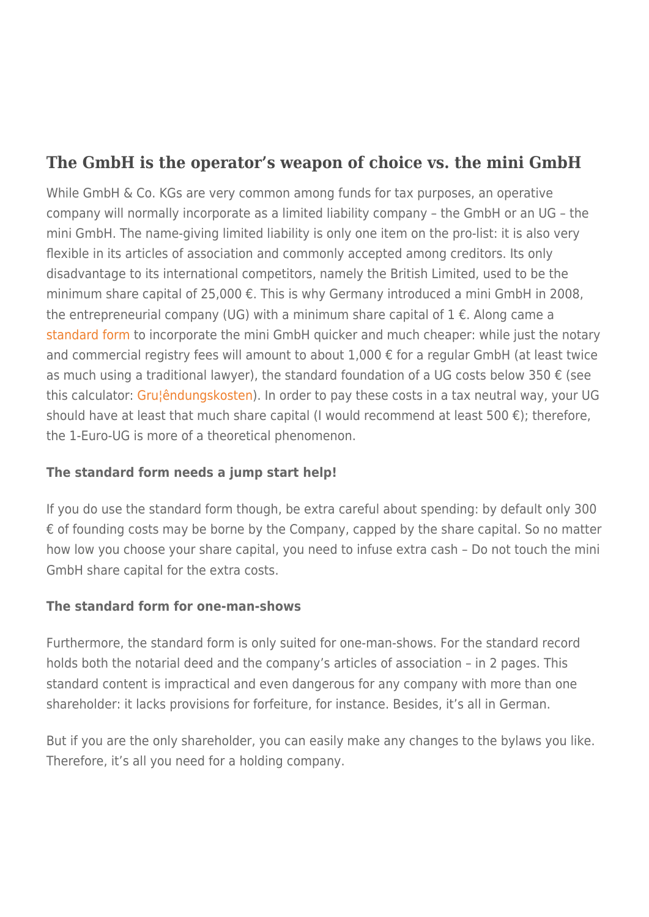## **The GmbH is the operator's weapon of choice vs. the mini GmbH**

While GmbH & Co. KGs are very common among funds for tax purposes, an operative company will normally incorporate as a limited liability company – the GmbH or an UG – the mini GmbH. The name-giving limited liability is only one item on the pro-list: it is also very flexible in its articles of association and commonly accepted among creditors. Its only disadvantage to its international competitors, namely the British Limited, used to be the minimum share capital of 25,000 €. This is why Germany introduced a mini GmbH in 2008, the entrepreneurial company (UG) with a minimum share capital of  $1 \in$ . Along came a [standard form](https://www.frankfurt-main.ihk.de/cgi-bin/sitestat?t=/imperia/md/content/pdf/recht/mustervertraege/Musterprotokoll.doc) to incorporate the mini GmbH quicker and much cheaper: while just the notary and commercial registry fees will amount to about 1,000 € for a regular GmbH (at least twice as much using a traditional lawyer), the standard foundation of a UG costs below 350  $\epsilon$  (see this calculator: [Gru¦êndungskosten\)](https://rechtsanwaltstreiff.files.wordpress.com/2015/06/gruc2a6c3aandungskosten.xlsx). In order to pay these costs in a tax neutral way, your UG should have at least that much share capital (I would recommend at least 500  $\epsilon$ ); therefore, the 1-Euro-UG is more of a theoretical phenomenon.

## **The standard form needs a jump start help!**

If you do use the standard form though, be extra careful about spending: by default only 300 € of founding costs may be borne by the Company, capped by the share capital. So no matter how low you choose your share capital, you need to infuse extra cash – Do not touch the mini GmbH share capital for the extra costs.

## **The standard form for one-man-shows**

Furthermore, the standard form is only suited for one-man-shows. For the standard record holds both the notarial deed and the company's articles of association – in 2 pages. This standard content is impractical and even dangerous for any company with more than one shareholder: it lacks provisions for forfeiture, for instance. Besides, it's all in German.

But if you are the only shareholder, you can easily make any changes to the bylaws you like. Therefore, it's all you need for a holding company.